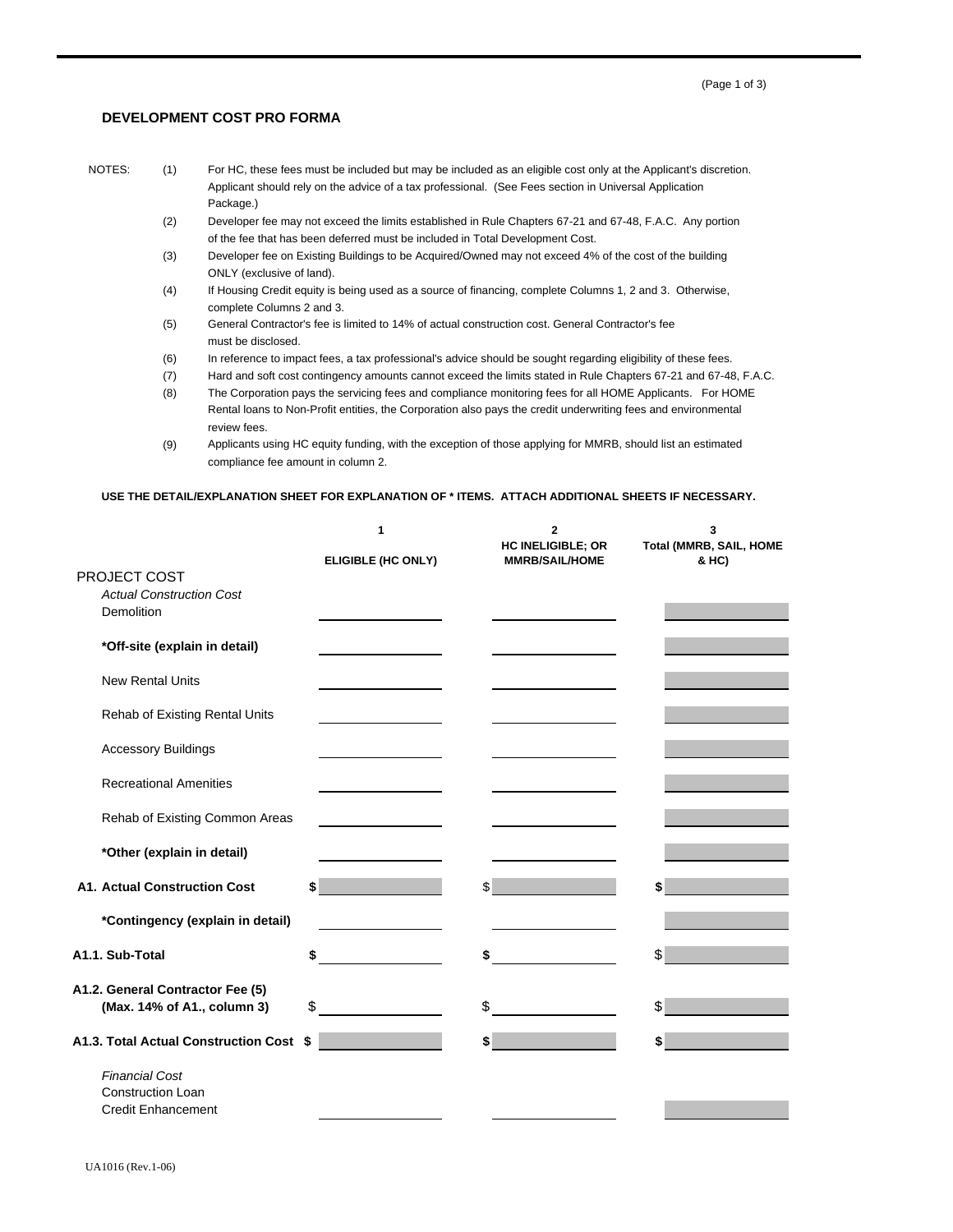## **DEVELOPMENT COST PRO FORMA**

- 
- NOTES: (1) For HC, these fees must be included but may be included as an eligible cost only at the Applicant's discretion. Applicant should rely on the advice of a tax professional. (See Fees section in Universal Application Package.)
	- (2) Developer fee may not exceed the limits established in Rule Chapters 67-21 and 67-48, F.A.C. Any portion of the fee that has been deferred must be included in Total Development Cost.
	- (3) Developer fee on Existing Buildings to be Acquired/Owned may not exceed 4% of the cost of the building ONLY (exclusive of land).
	- (4) If Housing Credit equity is being used as a source of financing, complete Columns 1, 2 and 3. Otherwise, complete Columns 2 and 3.
	- (5) General Contractor's fee is limited to 14% of actual construction cost. General Contractor's fee must be disclosed.
	- (6) In reference to impact fees, a tax professional's advice should be sought regarding eligibility of these fees.
	- (7) Hard and soft cost contingency amounts cannot exceed the limits stated in Rule Chapters 67-21 and 67-48, F.A.C.
	- (8) The Corporation pays the servicing fees and compliance monitoring fees for all HOME Applicants. For HOME Rental loans to Non-Profit entities, the Corporation also pays the credit underwriting fees and environmental review fees.
	- (9) Applicants using HC equity funding, with the exception of those applying for MMRB, should list an estimated compliance fee amount in column 2.

|                                               | 1                  | $\mathbf 2$<br><b>HC INELIGIBLE; OR</b>                    | 3<br><b>Total (MMRB, SAIL, HOME</b> |
|-----------------------------------------------|--------------------|------------------------------------------------------------|-------------------------------------|
|                                               | ELIGIBLE (HC ONLY) | <b>MMRB/SAIL/HOME</b>                                      | & HC)                               |
| PROJECT COST                                  |                    |                                                            |                                     |
| <b>Actual Construction Cost</b><br>Demolition |                    |                                                            |                                     |
|                                               |                    |                                                            |                                     |
| *Off-site (explain in detail)                 |                    |                                                            |                                     |
| <b>New Rental Units</b>                       |                    |                                                            |                                     |
| Rehab of Existing Rental Units                |                    |                                                            |                                     |
|                                               |                    |                                                            |                                     |
| <b>Accessory Buildings</b>                    |                    |                                                            |                                     |
| <b>Recreational Amenities</b>                 |                    |                                                            |                                     |
| Rehab of Existing Common Areas                |                    |                                                            |                                     |
|                                               |                    |                                                            |                                     |
| *Other (explain in detail)                    |                    |                                                            |                                     |
| <b>A1. Actual Construction Cost</b>           |                    | $\sim$                                                     | \$                                  |
| *Contingency (explain in detail)              |                    | <u>and the community of the community of the community</u> |                                     |
|                                               |                    |                                                            |                                     |
| A1.1. Sub-Total                               | \$                 |                                                            | \$                                  |
| A1.2. General Contractor Fee (5)              |                    |                                                            |                                     |
| (Max. 14% of A1., column 3)                   | \$                 | \$                                                         | \$                                  |
|                                               |                    |                                                            |                                     |
| A1.3. Total Actual Construction Cost \$       |                    | $\mathbf{s}$                                               |                                     |
| <b>Financial Cost</b>                         |                    |                                                            |                                     |
| <b>Construction Loan</b>                      |                    |                                                            |                                     |
| <b>Credit Enhancement</b>                     |                    |                                                            |                                     |

## **USE THE DETAIL/EXPLANATION SHEET FOR EXPLANATION OF \* ITEMS. ATTACH ADDITIONAL SHEETS IF NECESSARY.**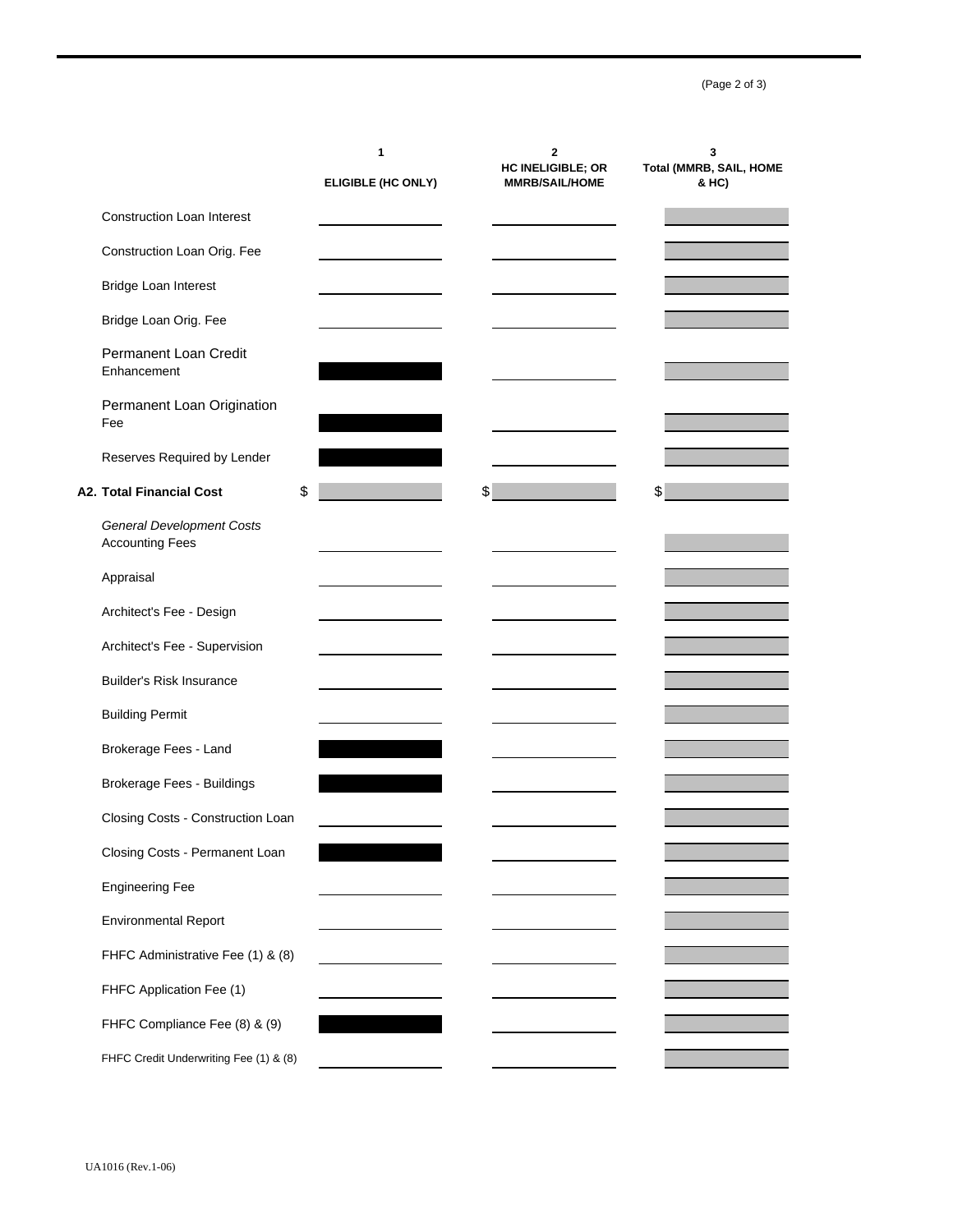(Page 2 of 3)

|                                                            | 1<br>ELIGIBLE (HC ONLY) | 2<br>HC INELIGIBLE; OR<br><b>MMRB/SAIL/HOME</b> | 3<br>Total (MMRB, SAIL, HOME<br>& HC) |
|------------------------------------------------------------|-------------------------|-------------------------------------------------|---------------------------------------|
| <b>Construction Loan Interest</b>                          |                         |                                                 |                                       |
| Construction Loan Orig. Fee                                |                         |                                                 |                                       |
| Bridge Loan Interest                                       |                         |                                                 |                                       |
| Bridge Loan Orig. Fee                                      |                         |                                                 |                                       |
| Permanent Loan Credit<br>Enhancement                       |                         |                                                 |                                       |
| Permanent Loan Origination<br>Fee                          |                         |                                                 |                                       |
| Reserves Required by Lender                                |                         |                                                 |                                       |
| <b>A2. Total Financial Cost</b><br>\$                      |                         | \$                                              | \$                                    |
| <b>General Development Costs</b><br><b>Accounting Fees</b> |                         |                                                 |                                       |
| Appraisal                                                  |                         |                                                 |                                       |
| Architect's Fee - Design                                   |                         |                                                 |                                       |
| Architect's Fee - Supervision                              |                         |                                                 |                                       |
| <b>Builder's Risk Insurance</b>                            |                         |                                                 |                                       |
| <b>Building Permit</b>                                     |                         |                                                 |                                       |
| Brokerage Fees - Land                                      |                         |                                                 |                                       |
| Brokerage Fees - Buildings                                 |                         |                                                 |                                       |
| Closing Costs - Construction Loan                          |                         |                                                 |                                       |
| Closing Costs - Permanent Loan                             |                         |                                                 |                                       |
| <b>Engineering Fee</b>                                     |                         |                                                 |                                       |
| <b>Environmental Report</b>                                |                         |                                                 |                                       |
| FHFC Administrative Fee (1) & (8)                          |                         |                                                 |                                       |
| FHFC Application Fee (1)                                   |                         |                                                 |                                       |
| FHFC Compliance Fee (8) & (9)                              |                         |                                                 |                                       |
| FHFC Credit Underwriting Fee (1) & (8)                     |                         |                                                 |                                       |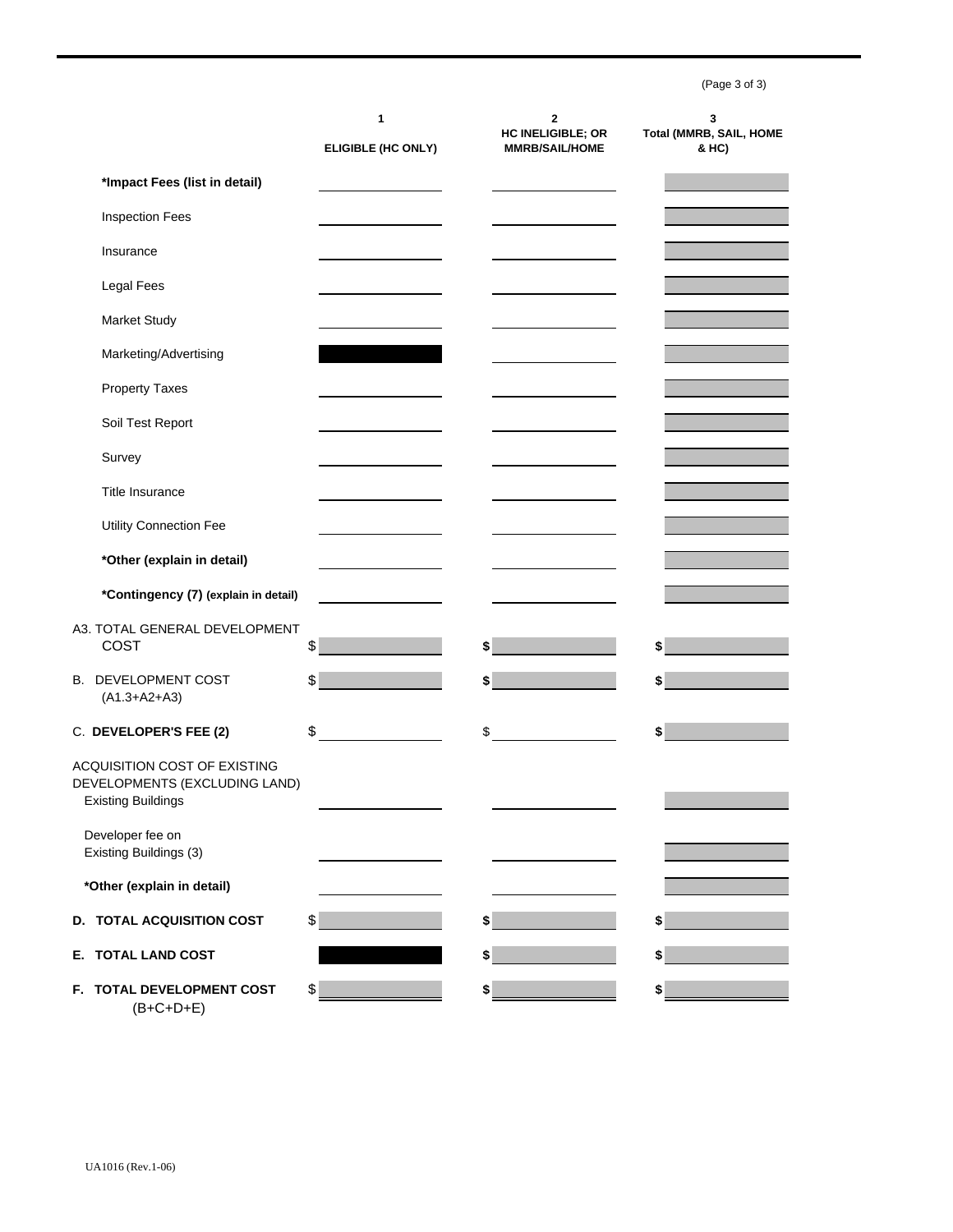(Page 3 of 3)

|                                                                                            | 1<br>ELIGIBLE (HC ONLY)              | 2<br><b>HC INELIGIBLE; OR</b><br><b>MMRB/SAIL/HOME</b> | 3<br>Total (MMRB, SAIL, HOME<br>& HC) |
|--------------------------------------------------------------------------------------------|--------------------------------------|--------------------------------------------------------|---------------------------------------|
| *Impact Fees (list in detail)                                                              |                                      |                                                        |                                       |
| <b>Inspection Fees</b>                                                                     |                                      |                                                        |                                       |
| Insurance                                                                                  |                                      |                                                        |                                       |
| Legal Fees                                                                                 |                                      |                                                        |                                       |
| Market Study                                                                               |                                      |                                                        |                                       |
| Marketing/Advertising                                                                      |                                      |                                                        |                                       |
| <b>Property Taxes</b>                                                                      |                                      |                                                        |                                       |
| Soil Test Report                                                                           |                                      |                                                        |                                       |
| Survey                                                                                     |                                      |                                                        |                                       |
| <b>Title Insurance</b>                                                                     |                                      |                                                        |                                       |
| Utility Connection Fee                                                                     |                                      |                                                        |                                       |
| *Other (explain in detail)                                                                 |                                      |                                                        |                                       |
| *Contingency (7) (explain in detail)                                                       |                                      |                                                        |                                       |
| A3. TOTAL GENERAL DEVELOPMENT<br>COST                                                      | \$                                   | \$                                                     |                                       |
| <b>B. DEVELOPMENT COST</b><br>$(A1.3+A2+A3)$                                               | \$                                   | \$                                                     | \$                                    |
| C. DEVELOPER'S FEE (2)                                                                     | \$<br><u>and a strategic product</u> | \$                                                     | \$                                    |
| ACQUISITION COST OF EXISTING<br>DEVELOPMENTS (EXCLUDING LAND)<br><b>Existing Buildings</b> |                                      |                                                        |                                       |
| Developer fee on<br>Existing Buildings (3)                                                 |                                      |                                                        |                                       |
| *Other (explain in detail)                                                                 |                                      |                                                        |                                       |
| D. TOTAL ACQUISITION COST                                                                  | \$                                   | \$                                                     |                                       |
| E. TOTAL LAND COST                                                                         |                                      | \$                                                     | \$                                    |
| F. TOTAL DEVELOPMENT COST                                                                  | \$                                   | \$                                                     | \$                                    |

(B+C+D+E)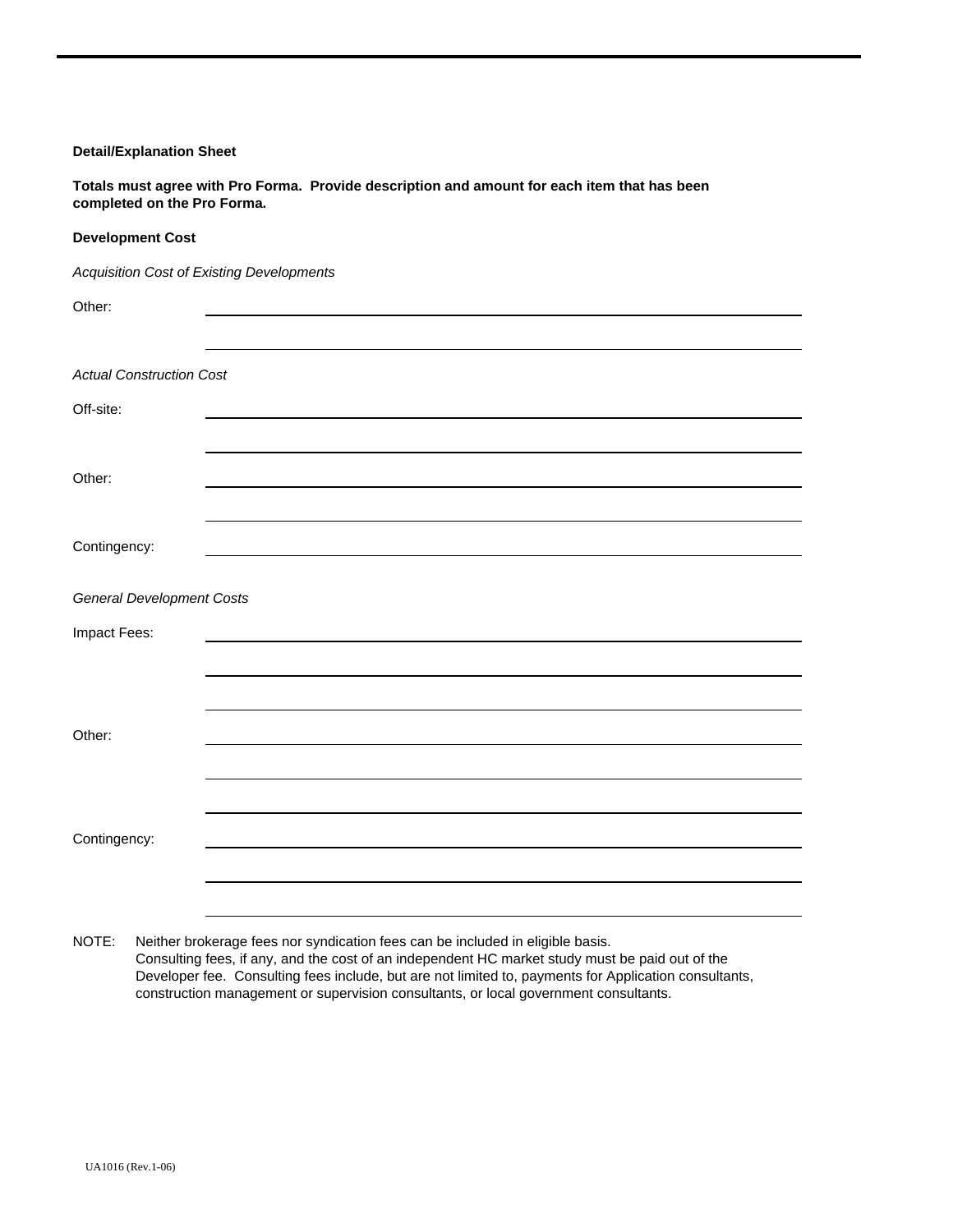## **Detail/Explanation Sheet**

**Totals must agree with Pro Forma. Provide description and amount for each item that has been completed on the Pro Forma.**

## **Development Cost**

*Acquisition Cost of Existing Developments*

| Other:                           |  |
|----------------------------------|--|
|                                  |  |
|                                  |  |
| <b>Actual Construction Cost</b>  |  |
| Off-site:                        |  |
|                                  |  |
| Other:                           |  |
|                                  |  |
|                                  |  |
| Contingency:                     |  |
|                                  |  |
| <b>General Development Costs</b> |  |
| Impact Fees:                     |  |
|                                  |  |
|                                  |  |
|                                  |  |
| Other:                           |  |
|                                  |  |
|                                  |  |
| Contingency:                     |  |
|                                  |  |
|                                  |  |

NOTE: Neither brokerage fees nor syndication fees can be included in eligible basis. Consulting fees, if any, and the cost of an independent HC market study must be paid out of the Developer fee. Consulting fees include, but are not limited to, payments for Application consultants, construction management or supervision consultants, or local government consultants.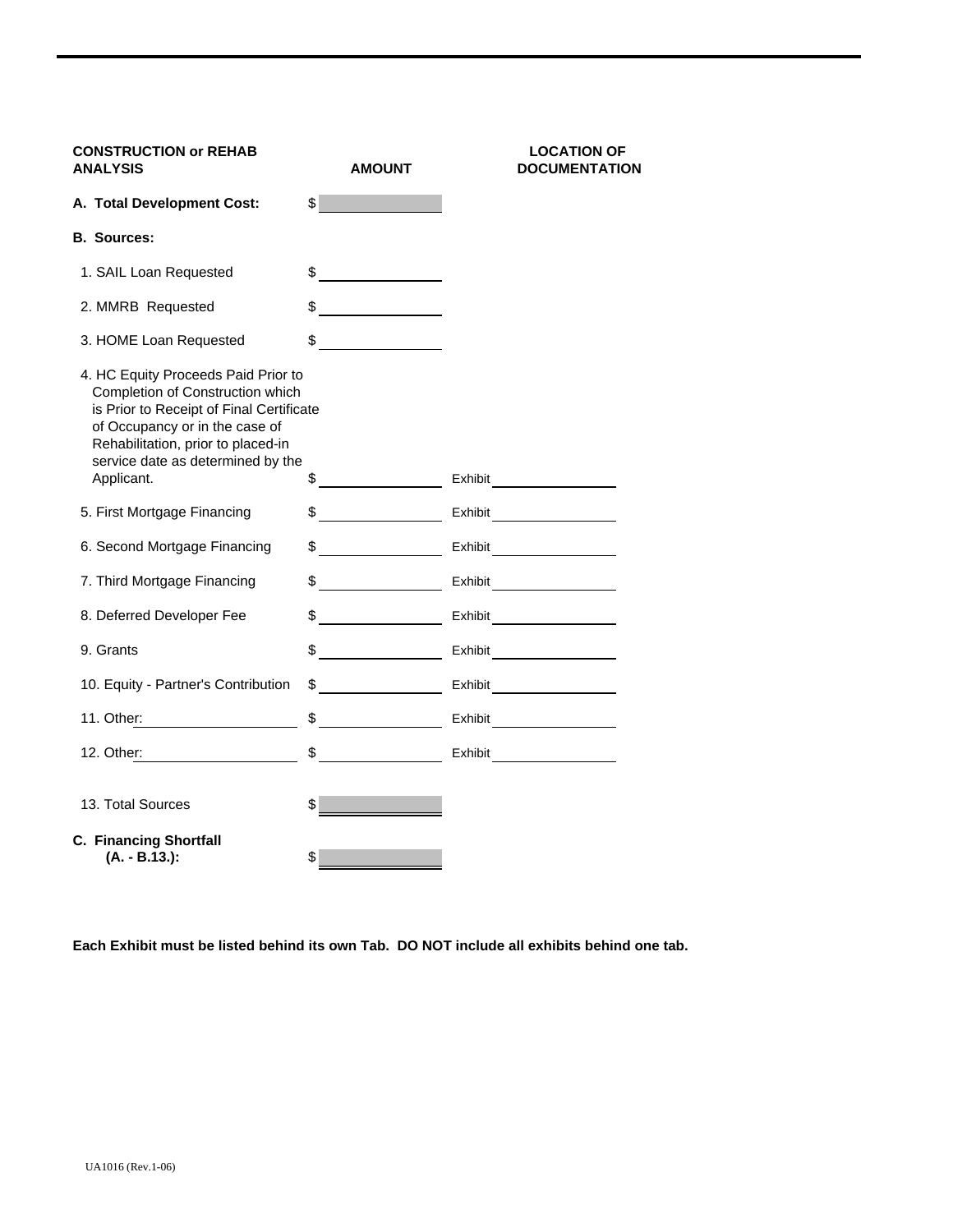| <b>CONSTRUCTION or REHAB</b><br><b>ANALYSIS</b>                                                                                                                                                                                                | <b>AMOUNT</b>                                  | <b>LOCATION OF</b><br><b>DOCUMENTATION</b> |
|------------------------------------------------------------------------------------------------------------------------------------------------------------------------------------------------------------------------------------------------|------------------------------------------------|--------------------------------------------|
| A. Total Development Cost:                                                                                                                                                                                                                     | $\mathbb{S}$ and $\mathbb{S}$                  |                                            |
| <b>B. Sources:</b>                                                                                                                                                                                                                             |                                                |                                            |
| 1. SAIL Loan Requested                                                                                                                                                                                                                         | $\frac{1}{\sqrt{2}}$                           |                                            |
| 2. MMRB Requested                                                                                                                                                                                                                              | <u> 1989 - Jan Sarajević, politik po</u><br>\$ |                                            |
| 3. HOME Loan Requested                                                                                                                                                                                                                         | \$                                             |                                            |
| 4. HC Equity Proceeds Paid Prior to<br>Completion of Construction which<br>is Prior to Receipt of Final Certificate<br>of Occupancy or in the case of<br>Rehabilitation, prior to placed-in<br>service date as determined by the<br>Applicant. | $\frac{1}{2}$                                  |                                            |
| 5. First Mortgage Financing                                                                                                                                                                                                                    | $\frac{1}{2}$                                  | Exhibit                                    |
| 6. Second Mortgage Financing                                                                                                                                                                                                                   | $\frac{1}{2}$                                  | Exhibit                                    |
| 7. Third Mortgage Financing                                                                                                                                                                                                                    | $\sim$                                         | Exhibit                                    |
| 8. Deferred Developer Fee                                                                                                                                                                                                                      | $\frac{1}{2}$                                  | <b>Exhibit Exhibit</b>                     |
| 9. Grants                                                                                                                                                                                                                                      | $\sim$                                         |                                            |
| 10. Equity - Partner's Contribution                                                                                                                                                                                                            | $\frac{1}{2}$                                  | Exhibit                                    |
| 11. Other: ___________________                                                                                                                                                                                                                 |                                                | $\frac{1}{2}$ Exhibit                      |
| 12. Other: and the state of the state of the state of the state of the state of the state of the state of the state of the state of the state of the state of the state of the state of the state of the state of the state of                 | $\frac{1}{2}$                                  |                                            |
| 13. Total Sources                                                                                                                                                                                                                              | \$                                             |                                            |
| <b>C. Financing Shortfall</b><br>(A. - B.13.):                                                                                                                                                                                                 | \$                                             |                                            |

**Each Exhibit must be listed behind its own Tab. DO NOT include all exhibits behind one tab.**